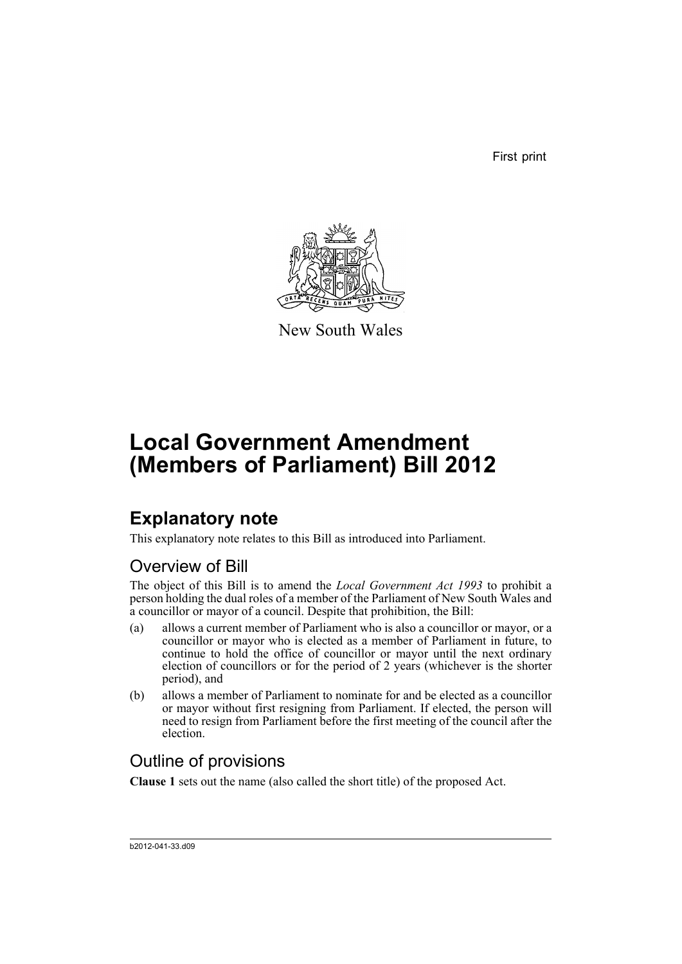First print



New South Wales

# **Local Government Amendment (Members of Parliament) Bill 2012**

## **Explanatory note**

This explanatory note relates to this Bill as introduced into Parliament.

### Overview of Bill

The object of this Bill is to amend the *Local Government Act 1993* to prohibit a person holding the dual roles of a member of the Parliament of New South Wales and a councillor or mayor of a council. Despite that prohibition, the Bill:

- (a) allows a current member of Parliament who is also a councillor or mayor, or a councillor or mayor who is elected as a member of Parliament in future, to continue to hold the office of councillor or mayor until the next ordinary election of councillors or for the period of 2 years (whichever is the shorter period), and
- (b) allows a member of Parliament to nominate for and be elected as a councillor or mayor without first resigning from Parliament. If elected, the person will need to resign from Parliament before the first meeting of the council after the election.

### Outline of provisions

**Clause 1** sets out the name (also called the short title) of the proposed Act.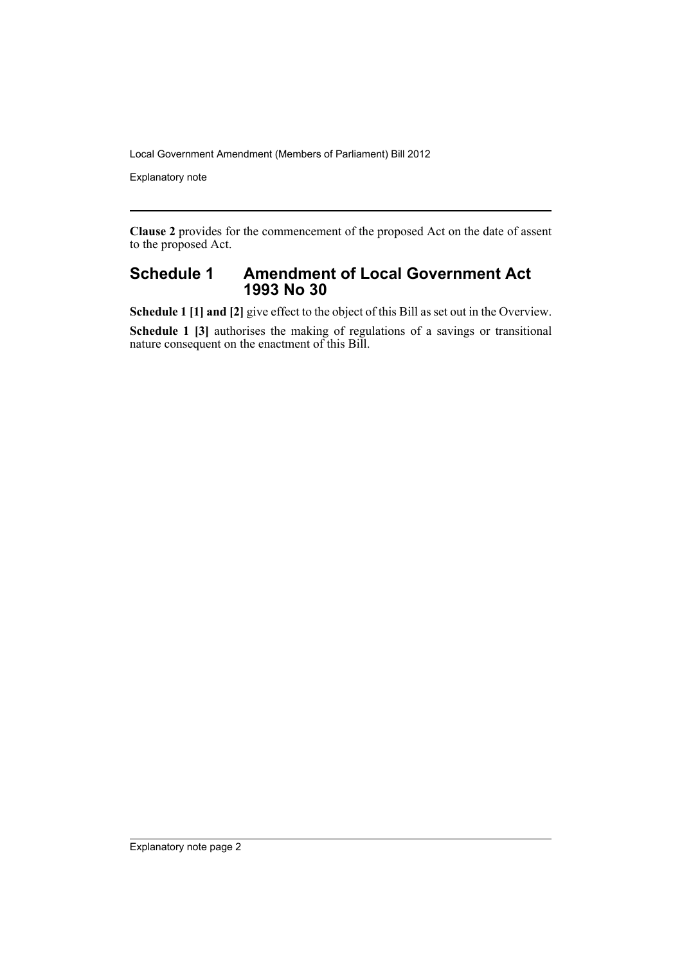Local Government Amendment (Members of Parliament) Bill 2012

Explanatory note

**Clause 2** provides for the commencement of the proposed Act on the date of assent to the proposed Act.

#### **Schedule 1 Amendment of Local Government Act 1993 No 30**

**Schedule 1 [1] and [2]** give effect to the object of this Bill as set out in the Overview.

**Schedule 1 [3]** authorises the making of regulations of a savings or transitional nature consequent on the enactment of this Bill.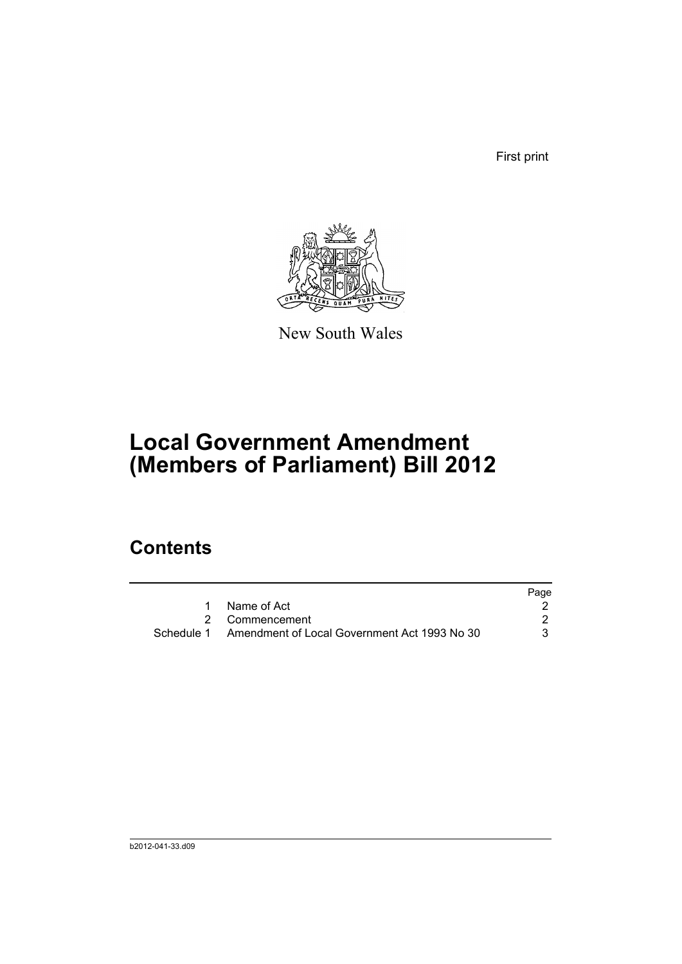First print



New South Wales

# **Local Government Amendment (Members of Parliament) Bill 2012**

### **Contents**

|                                                         | Page |
|---------------------------------------------------------|------|
| Name of Act                                             |      |
| 2 Commencement                                          |      |
| Schedule 1 Amendment of Local Government Act 1993 No 30 | 3    |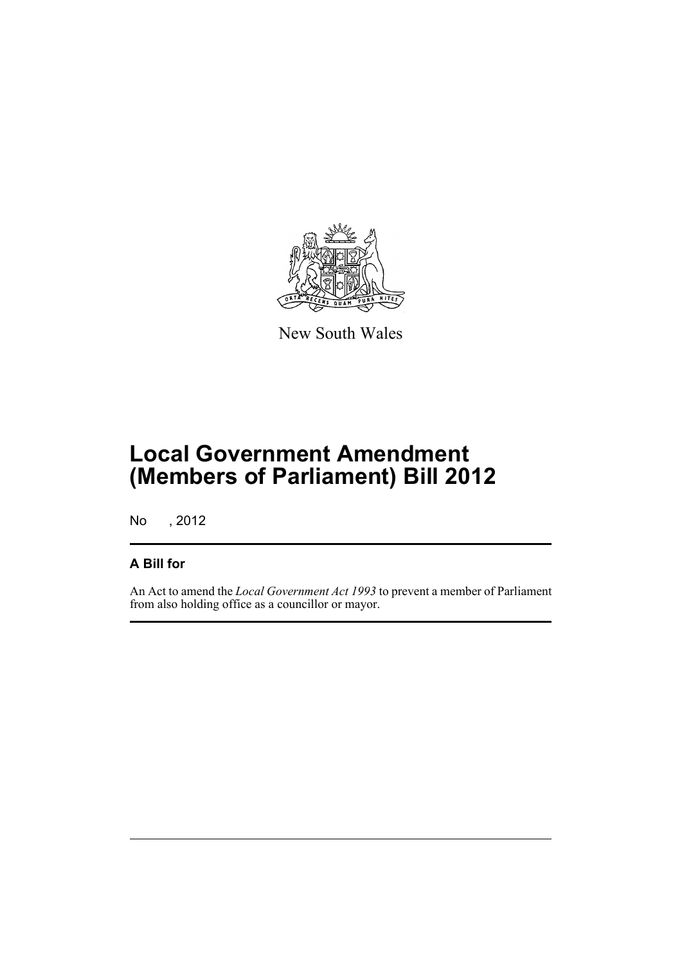

New South Wales

## **Local Government Amendment (Members of Parliament) Bill 2012**

No , 2012

#### **A Bill for**

An Act to amend the *Local Government Act 1993* to prevent a member of Parliament from also holding office as a councillor or mayor.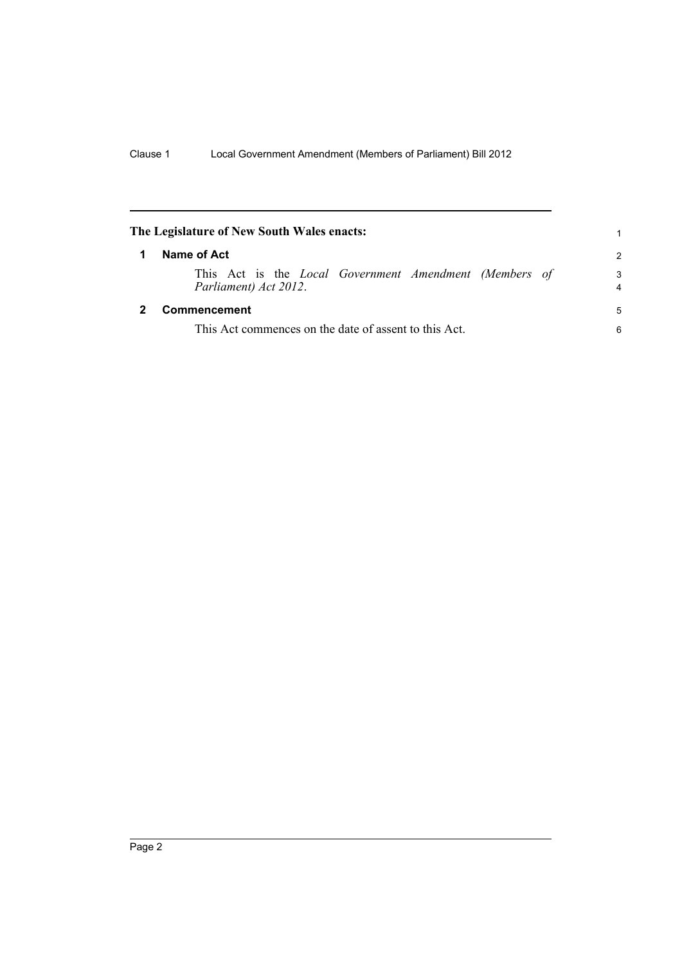<span id="page-5-1"></span><span id="page-5-0"></span>

| The Legislature of New South Wales enacts:            |                                                                                        |        |  |
|-------------------------------------------------------|----------------------------------------------------------------------------------------|--------|--|
| 1                                                     | Name of Act                                                                            |        |  |
|                                                       | This Act is the <i>Local Government Amendment (Members of</i><br>Parliament) Act 2012. | 3<br>4 |  |
|                                                       | Commencement                                                                           | 5      |  |
| This Act commences on the date of assent to this Act. |                                                                                        |        |  |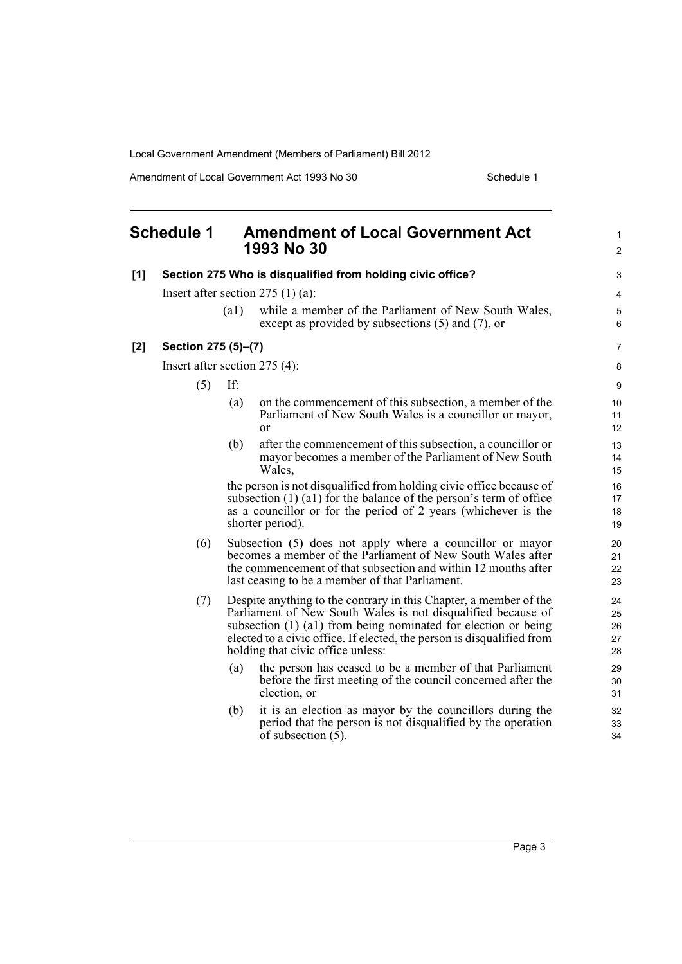Local Government Amendment (Members of Parliament) Bill 2012

Amendment of Local Government Act 1993 No 30 Schedule 1

<span id="page-6-0"></span>

|       | <b>Schedule 1</b>               |                    | <b>Amendment of Local Government Act</b><br>1993 No 30                                                                                                                                                                                                                                                             | $\mathbf{1}$<br>$\overline{2}$ |  |
|-------|---------------------------------|--------------------|--------------------------------------------------------------------------------------------------------------------------------------------------------------------------------------------------------------------------------------------------------------------------------------------------------------------|--------------------------------|--|
| [1]   |                                 |                    | Section 275 Who is disqualified from holding civic office?                                                                                                                                                                                                                                                         | 3                              |  |
|       |                                 |                    | Insert after section $275(1)(a)$ :                                                                                                                                                                                                                                                                                 | 4                              |  |
|       |                                 | $\left( a1\right)$ | while a member of the Parliament of New South Wales,<br>except as provided by subsections $(5)$ and $(7)$ , or                                                                                                                                                                                                     | $\mathbf 5$<br>6               |  |
| $[2]$ | Section 275 (5)-(7)             |                    |                                                                                                                                                                                                                                                                                                                    | $\overline{7}$                 |  |
|       | Insert after section $275(4)$ : |                    |                                                                                                                                                                                                                                                                                                                    |                                |  |
|       | (5)                             | If:                |                                                                                                                                                                                                                                                                                                                    | 9                              |  |
|       |                                 | (a)                | on the commencement of this subsection, a member of the<br>Parliament of New South Wales is a councillor or mayor,<br><sub>or</sub>                                                                                                                                                                                | 10<br>11<br>12                 |  |
|       |                                 | (b)                | after the commencement of this subsection, a councillor or<br>mayor becomes a member of the Parliament of New South<br>Wales,                                                                                                                                                                                      | 13<br>14<br>15                 |  |
|       |                                 |                    | the person is not disqualified from holding civic office because of<br>subsection $(1)$ $(1)$ for the balance of the person's term of office<br>as a councillor or for the period of 2 years (whichever is the<br>shorter period).                                                                                 | 16<br>17<br>18<br>19           |  |
|       | (6)                             |                    | Subsection (5) does not apply where a councillor or mayor<br>becomes a member of the Parliament of New South Wales after<br>the commencement of that subsection and within 12 months after<br>last ceasing to be a member of that Parliament.                                                                      | 20<br>21<br>22<br>23           |  |
|       | (7)                             |                    | Despite anything to the contrary in this Chapter, a member of the<br>Parliament of New South Wales is not disqualified because of<br>subsection (1) (a1) from being nominated for election or being<br>elected to a civic office. If elected, the person is disqualified from<br>holding that civic office unless: | 24<br>25<br>26<br>27<br>28     |  |
|       |                                 | (a)                | the person has ceased to be a member of that Parliament<br>before the first meeting of the council concerned after the<br>election, or                                                                                                                                                                             | 29<br>30<br>31                 |  |
|       |                                 | (b)                | it is an election as mayor by the councillors during the<br>period that the person is not disqualified by the operation<br>of subsection $(5)$ .                                                                                                                                                                   | 32<br>33<br>34                 |  |